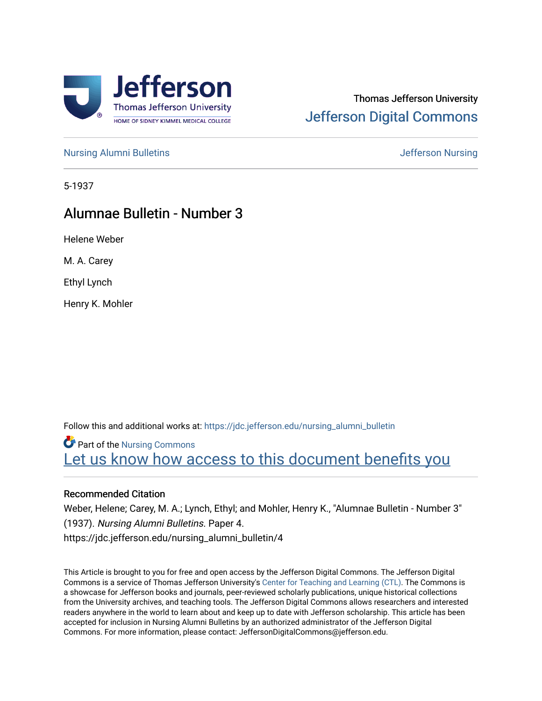

# Thomas Jefferson University [Jefferson Digital Commons](https://jdc.jefferson.edu/)

[Nursing Alumni Bulletins](https://jdc.jefferson.edu/nursing_alumni_bulletin) **Jefferson Nursing** 

5-1937

# Alumnae Bulletin - Number 3

Helene Weber

M. A. Carey

Ethyl Lynch

Henry K. Mohler

Follow this and additional works at: [https://jdc.jefferson.edu/nursing\\_alumni\\_bulletin](https://jdc.jefferson.edu/nursing_alumni_bulletin?utm_source=jdc.jefferson.edu%2Fnursing_alumni_bulletin%2F4&utm_medium=PDF&utm_campaign=PDFCoverPages) 

Part of the [Nursing Commons](http://network.bepress.com/hgg/discipline/718?utm_source=jdc.jefferson.edu%2Fnursing_alumni_bulletin%2F4&utm_medium=PDF&utm_campaign=PDFCoverPages)  Let us know how access to this document benefits you

### Recommended Citation

Weber, Helene; Carey, M. A.; Lynch, Ethyl; and Mohler, Henry K., "Alumnae Bulletin - Number 3" (1937). Nursing Alumni Bulletins. Paper 4. https://jdc.jefferson.edu/nursing\_alumni\_bulletin/4

This Article is brought to you for free and open access by the Jefferson Digital Commons. The Jefferson Digital Commons is a service of Thomas Jefferson University's [Center for Teaching and Learning \(CTL\)](http://www.jefferson.edu/university/teaching-learning.html/). The Commons is a showcase for Jefferson books and journals, peer-reviewed scholarly publications, unique historical collections from the University archives, and teaching tools. The Jefferson Digital Commons allows researchers and interested readers anywhere in the world to learn about and keep up to date with Jefferson scholarship. This article has been accepted for inclusion in Nursing Alumni Bulletins by an authorized administrator of the Jefferson Digital Commons. For more information, please contact: JeffersonDigitalCommons@jefferson.edu.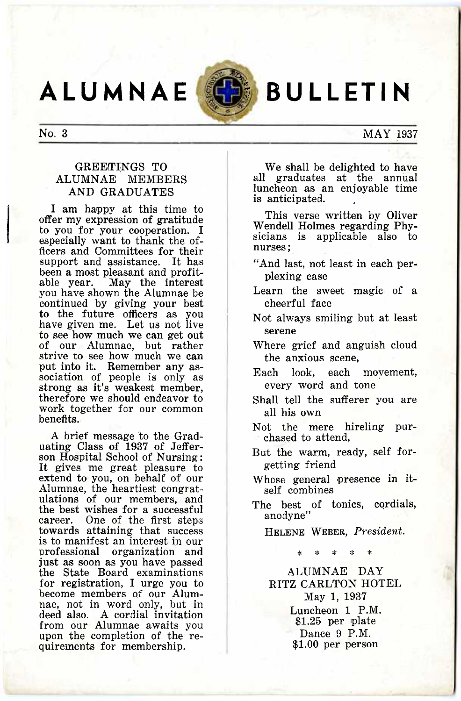**ALUMNAE BULLETIN** 



### No. 3 MAY 1937

### GREETINGS TO ALUMNAE MEMBERS AND GRADUATES

I am happy at this time to offer my expression of gratitude to you for your cooperation. I especially want to thank the officers and Committees for their support and assistance. It has been a most pleasant and profit-<br>able year. May the interest May the interest you have shown the Alumnae be continued by giving your best to the future officers as you have given me. Let us not live to see how much we can get out of our Alumnae, but rather strive to see how much we can put into it. Remember any association of people is only as strong as it's weakest member, therefore we should endeavor to work together for our common benefits.

A brief message to the Graduating Class of 1937 of Jefferson Hospital School of Nursing : It gives me great pleasure to extend to you, on behalf of our Alumnae, the heartiest congratulations of our members, and the best wishes for a successful career. One of the first steps towards attaining that success is to manifest an interest in our professional organization and just as soon as you have passed the State Board examinations for registration, I urge you to become members of our Alumnae, not in word only, but in deed also. A cordial invitation from our Alumnae awaits you upon the completion of the requirements for membership.

We shall be delighted to have all graduates at the annual luncheon as an enjoyable time is anticipated.

This verse written by Oliver Wendell Holmes regarding Physicians is applicable also to nurses;

- "And last, not least in each perplexing case
- Learn the sweet magic of a cheerful face
- Not always smiling but at least serene
- Where grief and anguish cloud the anxious scene,
- Each look, each movement, every word and tone
- Shall tell the sufferer you are all his own
- Not the mere hireling purchased to attend,
- But the warm, ready, self forgetting friend
- Whose general presence in itself combines
- The best of tonics, cordials, anodyne"

HELENE WEBER, *President.* 

\* \* \*

ALUMNAE DAY RITZ CARLTON HOTEL May 1, 1937 Luncheon 1 P.M. \$1.25 per plate Dance 9 P.M. \$1.00 per person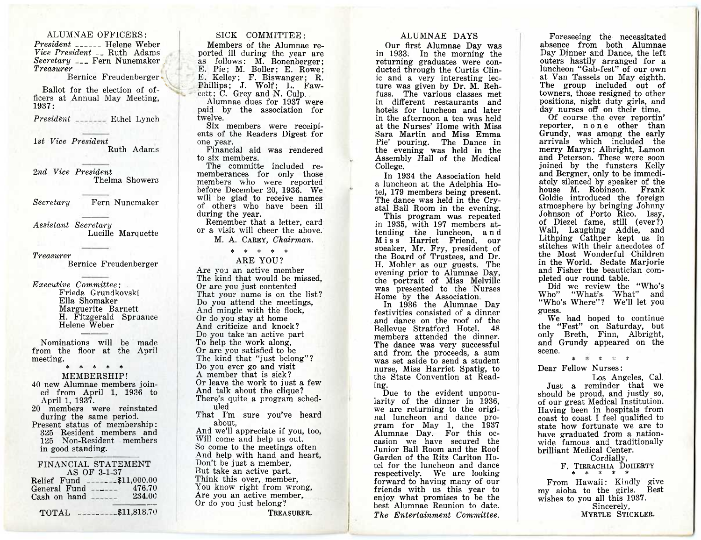ALUMNAE OFFICERS : *President* \_\_\_\_\_ Helene Weber *Vice President \_\_* Ruth Adams *Secretary <sub>Fern</sub>* Fern Nunemaker *Treasurer* 

Bernice Freudenberger

Ballot for the election of officers at Annual May Meeting, 1937:

*President* \_\_\_\_\_\_ Ethel Lynch

*1st Vice President*  Ruth Adams

*2nd Vice President*  Thelma Showers

*Secretary* Fern Nunemaker

*Assistant Secretary*  Lucille Marquette

*Treasurer* 

Bernice Freudenberger

*Executive Committee:*  Frieda Grundkovski Ella Shomaker Marguerite Barnett H. Fitzgerald Spruance Helene Weber

Nominations will be made from the floor at the April meeting.

> \* \* \* \* \* MEMBERSHIP!

40 new Alumnae members joined from April 1, 1936 to April 1, 1937.

20 members were reinstated during the same period. Present status of membership : 325 Resident members and 125 Non-Resident members

in good standing.

| FINANCIAL STATEMENT            |                 |
|--------------------------------|-----------------|
| AS OF 3-1-37                   |                 |
| Relief Fund _______\$11,000.00 |                 |
| General Fund                   | 476.70          |
| Cash on hand                   | 234.00          |
|                                |                 |
| <b>TOTAL</b>                   | $-$ \$11,818.70 |

### SICK COMMITTEE :

Members of the Alumnae reported ill during the year are as follows: M. Bonenberger; E. Pie; M. Boller; E. Rowe: E. Kelley: F. Biswanger: R. Phillips; J. Wolf; L. Faw $c$ ett;  $C$ . Grey and  $N$ . Culp.

Alumnae dues for 1937 were paid by the association for twelve.

Six members were receipients of the Readers Digest for one year.

Financial aid was rendered to six members.

The committe included rememberances for only those members who were reported before December 20, 1936. We will be glad to receive names of others who have been ill during the year.

Remember that a letter, card or a visit will cheer the above.

M. A. CAREY, *Chairman.* 

*\* \* \* \**  ARE YOU?

Are you an active member The kind that would be missed, Or are you just contented That your name is on the list? Do you attend the meetings, And mingle with the flock, Or do you stay at home And criticize and knock? Do you take an active part To help the work along, Or are you satisfied to be The kind that "just belong"? Do you ever go and visit A member that is sick? Or leave the work to just a few And talk about the clique? There's quite a program scheduled That I'm sure you've heard

about, And we'll appreciate if you, too, Will come and help us out. So come to the meetings often And help with hand and heart, Don't be just a member, But take an active part. Think this over, member, You know right from wrong, Are you an active member, Or do you just belong?

TREASURER.

### ALUMNAE DAYS

Our first Alumnae Day was in 1933. In the morning the returning graduates were conducted through the Curtis Clinic and a very interesting lecture was given by Dr. M. Rehfuss. The various classes met in different restaurants and hotels for luncheon and later in the afternoon a tea was held at the Nurses' Home with Miss Sara Martin and Miss Emma Pie' pouring. The Dance in the evening was held in the Assembly Hall of the Medical College.

In 1934 the Association held a luncheon at the Adeiphia Hotel, 179 members being present. The dance was held in the Crystal Ball Room in the evening. This program was repeated in 1935, with 197 members at-

tending the luncheon, a n d Miss Harriet Friend, our sneaker, Mr. Fry, president of the Board of Trustees, and Dr. H. Mohler as our guests. The evening prior to Alumnae Day, the portrait of Miss Melville was presented to the Nurses Home by the Association.

In 1936 the Alumnae Day festivities consisted of a dinner and dance on the roof of the Bellevue Stratford Hotel. 48 members attended the dinner. The dance was very successful and from the proceeds, a sum was set aside to send a student nurse, Miss Harriet Spatig, to the State Convention at Reading.

Due to the evident unpopularity of the dinner in 1936, we are returning to the original luncheon and dance program for May 1, the 1937 Alumnae Day. For this occasion we have secured the Junior Ball Room and the Roof Garden of the Ritz Carlton Hotel for the luncheon and dance respectively. We are looking forward to having many of our friends with us this year to enjoy what promises to be the best Alumnae Reunion to date. *The Entertainment Committee.* 

Foreseeing the necessitated absence from both Alumnae Day Dinner and Dance, the left outers hastily arranged for a luncheon "Gab-fest" of our own at Van Tassels on May eighth. The group included out of towners, those resigned to other positions, night duty girls, and day nurses off on their time.

Of course the ever reportin' reporter, none other than Grundy, was among the early arrivals which included the merry Marys; Albright, Lamon and Peterson. These were soon joined by the funsters Kelly and Bergner, only to be immediately silenced by speaker of the house M. Robinson. Frank Goldie introduced the foreign atmosphere by bringing Johnny Johnson of Porto Rico. Issy, of Diezel fame, still (ever?) Wall, Laughing Addie, and Lithping Cathper kept us in stitches with their anecdotes of the Most Wonderful Children in the World. Sedate Marjorie and Fisher the beautician completed our round table.

Did we review the "Who's Who" "What's What" and "Who's Where"? We'll let you guess.

We had hoped to continue the "Fest" on Saturday, but only Breth, Finn, Albright, and Grundy appeared on the scene.

> \*  $\mathbf{a}$ \* \*

Dear Fellow Nurses :

Los Angeles, Cal. Just a reminder that we should be proud, and justly so, of our great Medical Institution. Having been in hospitals from coast to coast I feel qualified to state how fortunate we are to have graduated from a nationwide famous and traditionally brilliant Medical Center.

Cordially,

F. TIRRACHIA DOHERTY

From Hawaii: Kindly give my aloha to the girls. Best wishes to you all this 1937. Sincerely, MYRTLE STICKLER.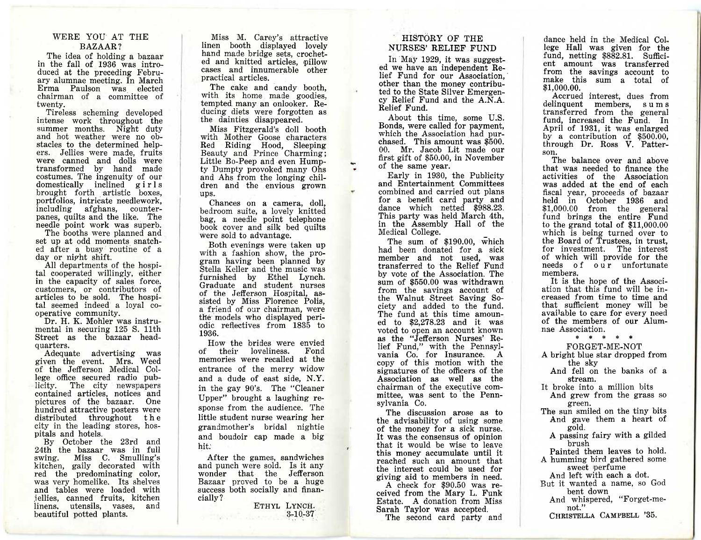### WERE YOU AT THE BAZAAR?

The idea of holding a bazaar in the fall of 1936 was introduced at the preceding February alumnae meeting. In March Erma Paulson was elected chairman of a committee of twenty.

Tireless scheming developed intense work throughout the summer months. Night duty and hot weather were no obstacles to the determined helpers. Jellies were made, fruits were canned and dolls were transformed by hand made costumes. The ingenuity of our domestically inclined girls brought forth artistic boxes, portfolios, intricate needlework, including afghans, counterpanes, quilts and the like. The needle point work was superb.

The booths were planned and set up at odd moments snatched after a busy routine of a day or night shift.

All departments of the hospital cooperated willingly, either in the capacity of sales force, customers, or contributors of articles to be sold. The hospital seemed indeed a loyal cooperative community.

Dr. H. K. Mohler was instrumental in securing 125 S. 11th Street as the bazaar headquarters.

Adequate advertising was given the event. Mrs. Weed of the Jefferson Medical College office secured radio publicity. The city newspapers contained articles, notices and pictures of the bazaar. One hundred attractive posters were distributed throughout the city in the leading stores, hospitals and hotels.

By October the 23rd and 24th the bazaar was in full<br>swing. Miss C. Smulling's  $\frac{1}{2}$  Miss C. Smulling's kitchen, gaily decorated with red the predominating color, was very homelike. Its shelves and tables were loaded with jellies, canned fruits, kitchen linens, utensils, vases, beautiful potted plants.

Miss M. Carey's attractive linen booth displayed lovely hand made bridge sets, crocheted and knitted articles, pillow cases and innumerable other practical articles.

The cake and candy booth, with its home made goodies, tempted many an onlooker. Reducing diets were forgotten as the dainties disappeared.

Miss Fitzgerald's doll booth with Mother Goose characters Red Riding Hood, Sleeping Beauty and Prince Charming ; Little Bo-Peep and even Humpty Dumpty provoked many Ohs and Ahs from the longing children and the envious grown ups.

Chances on a camera, doll, bedroom suite, a lovely knitted bag, a needle point telephone book cover and silk bed quilts were sold to advantage.

Both evenings were taken up with a fashion show, the program having been planned by Stella Keller and the music was furnished by Ethel Lynch. Graduate and student nurses of the Jefferson Hospital, assisted by Miss Florence Polis, a friend of our chairman, were the models who displayed periodic reflectives from 1835 to 1936.

How the brides were envied<br>of their loveliness. Fond their loveliness. Fond memories were recalled at the entrance of the merry widow and a dude of east side, N.Y. in the gay 90's. The "Cleaner Upper" brought a laughing response from the audience. The little student nurse wearing her grandmother's bridal nightie and boudoir cap made a big hit:

After the games, sandwiches and punch were sold. Is it any wonder that the Jefferson Bazaar proved to be a huge success both socially and financially?

ETHYL LYNCH. 3-10-37

### HISTORY OF THE NURSES' RELIEF FUND

In May 1929, it was suggested we have an independent Relief Fund for our Association, other than the money contributed to the State Silver Emergency Relief Fund and the A.N.A. Relief Fund.

About this time, some U.S. Bonds, were called for payment, which the Association had purchased. This amount was \$500. 00. Mr. Jacob Lit made our first gift of \$50.00, in November of the same year.

Early in 1930, the Publicity and Entertainment Committees combined and carried out plans for a benefit card party and dance which netted \$988.23. This party was held March 4th, in the Assembly Hall of the Medical College.

The sum of \$190.00, which had been donated for a sick member and not used, was transferred to the Relief Fund by vote of the Association. The sum of \$550.00 was withdrawn from the savings account of the Walnut Street Saving Society and added to the fund. The fund at this time amouned to \$2,278.23 and it was voted to open an account known as the "Jefferson Nurses' Relief Fund," with the Pennsylvania Co. for Insurance. A copy of this motion with the signatures of the officers of the Association as well as the chairman of the executive committee, was sent to the Pennsylvania Co.

The discussion arose as to the advisability of using some of the money for a sick nurse. It was the consensus of opinion that it would be wise to leave this money accumulate until it reached such an amount that the interest could be used for giving aid to members in need.

A check for \$90.50 was received from the Mary L. Funk Estate. A donation from Miss Sarah Taylor was accepted.

The second card party and

dance held in the Medical College Hall was given for the fund, netting \$882.81. Sufficient amount was transferred from the savings account to make this sum a total of \$1,000.00.

Accrued interest, dues from delinquent members, sums transferred from the general fund, increased the Fund. In April of 1931, it was enlarged by a contribution of \$500.00, through Dr. Ross V. Patterson.

The balance over and above that was needed to finance the activities of the Association was added at the end of each fiscal year, proceeds of bazaar held in October 1936 and \$1,000.00 from the general fund brings the entire Fund to the grand total of \$11,000.00 which is being turned over to the Board of Trustees, in trust, for investment. The interest of which will provide for the needs of our unfortunate members.

It is the hope of the Association that this fund will be increased from time to time and that sufficient money will be available to care for every need of the members of our Alumnae Association.

\* \* \* \* \*

FORGET-ME-NOT A bright blue star dropped from the sky

And fell on the banks of a stream.

It broke into a million bits

And grew from the grass so green.

The sun smiled on the tiny bits And gave them a heart of gold.

A passing fairy with a gilded brush

Painted them leaves to hold. A humming bird gathered some sweet perfume

And left with each a dot.

But it wanted a name, so God bent down

And whispered, "Forget-menot."

CHRISTELLA CAMPBELL '35.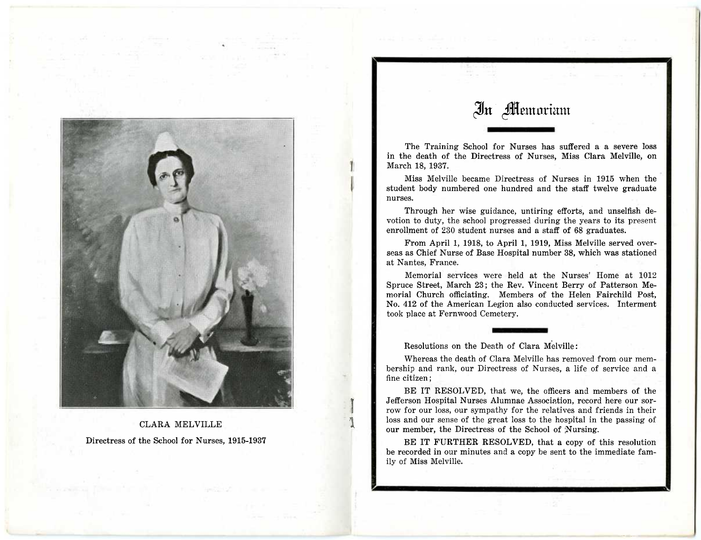

CLARA MELVILLE Directress of the School for Nurses, 1915-1937

# In **Memoriam**

The Training School for Nurses has suffered a a severe loss in the death of the Directress of Nurses, Miss Clara Melville, on March 18, 1937.

Miss Melville became Directress of Nurses in 1915 when the student body numbered one hundred and the staff twelve graduate nurses.

Through her wise guidance, untiring efforts, and unselfish devotion to duty, the school progressed during the years to its present enrollment of 230 student nurses and a staff of 68 graduates.

From April 1, 1918, to April 1, 1919, Miss Melville served overseas as Chief Nurse of Base Hospital number 38, which was stationed at Nantes, France.

Memorial services were held at the Nurses' Home at 1012 Spruce Street, March 23; the Rev. Vincent Berry of Patterson Memorial Church officiating. Members of the Helen Fairchild Post, No. 412 of the American Legion also conducted services. Interment took place at Fernwood Cemetery.

Resolutions on the Death of Clara Melville :

Whereas the death of Clara Melville has removed from our membership and rank, our Directress of Nurses, a life of service and a fine citizen ;

BE IT RESOLVED, that we, the officers and members of the Jefferson Hospital Nurses Alumnae Association, record here our sorrow for our loss, our sympathy for the relatives and friends in their loss and our sense of the great loss to the hospital in the passing of our member, the Directress of the School of Nursing.

BE IT FURTHER RESOLVED, that a copy of this resolution be recorded in our minutes and a copy be sent to the immediate family of Miss Melville.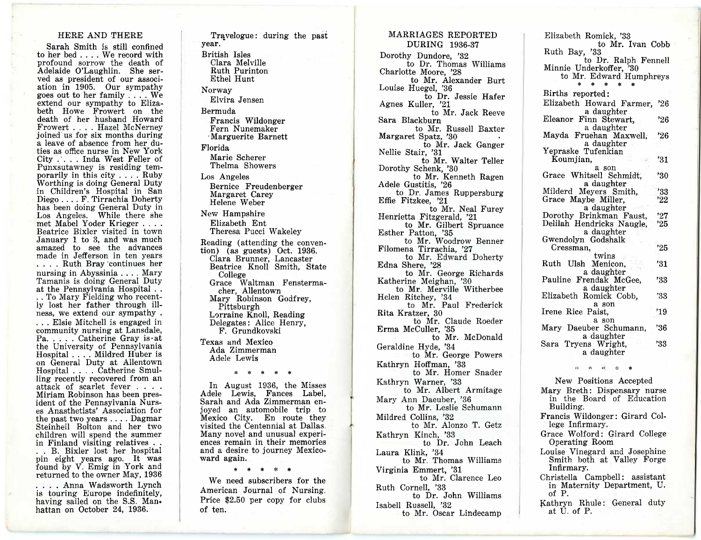### HERE AND THERE

Sarah Smith is still confined to her bed . . . . We record with profound sorrow the death of Adelaide O'Laughlin. She served as president of our association in 1905. Our sympathy goes out to her family . . . . We extend our sympathy to Elizabeth Howe Frowert on the death of her husband Howard Frowert . . . . Hazel McNerney joined us for six months during a leave of absence from her duties as office nurse in New York City . . . . Inda West Feller of Punxsutawney is residing temporarily in this city . . . . Ruby Worthing is doing General Duty in Children's Hospital in San Diego . . . . F. Tirrachia Doherty has been doing General Duty in Los Angeles. While there she met Mabel Yoder Krieger . . . . Beatrice Bixler visited in town January 1 to 3, and was much amazed to see the advances made in Jefferson in ten years . . . . Ruth Bray 'continues her nursing in Abyssinia . . . . Mary Tamanis is doing General Duty at the Pennsylvania Hospital . . . . To Mary Fielding who recently lost her father through ill-

ness, we extend our sympathy . . . . Elsie Mitchell is engaged in community nursing at Lansdale, Pa. . . . . Catherine Gray is.at the University of Pennsylvania Hospital . . . . Mildred Huber is on General Duty at Allentown Hospital . . . . Catherine Smulling recently recovered from an attack of scarlet fever . . . . Miriam Robinson has been president of the Pennsylvania Nurses Anasthetists' Association for the past two years . . . . Dagmar Steinheil Bolton and her two children will spend the summer in Finland visiting relatives .

. . B. Bixler lost her hospital pin eight years ago. It was found by V. Emig in York and returned to the owner May, 1936

. . . . Anna Wadsworth Lynch is touring Europe indefinitely, having sailed on the S.S. Manhattan on October 24, 1936.

Travelogue: during the past year. British Isles Clara Melville Ruth Purinton Ethel Hunt Norway Elvira Jensen Bermuda Francis Wildonger Fern Nunemaker •Marguerite Barnett Florida Marie Scherer Thelma Showers Los Angeles Bernice Freudenberger Margaret Carey Helene Weber New Hampshire Elizabeth Ent Theresa Pucci Wakeley Reading (attending the convention) (as guests) Oct. 1936. Clara Brunner, Lancaster Beatrice Knoll Smith, State College Grace Waltman Fenstermacher, Allentown Mary Robinson Godfrey, Pittsburgh Lorraine Knoll, Reading Delegates: Alice Henry, F. Grundkovski Texas and Mexico Ada Zimmerman Adele Lewis \* \* \* \* \* In August 1936, the Misses Adele Lewis, Fances Label, Sarah and Ada Zimmerman enjoyed an automobile trip to Mexico City. En route they visited the Centennial at Dallas.

Many novel and unusual experiences remain in their memories and a desire to journey Mexico-

\* \* \* \* \* We need subscribers for the American Journal of Nursing. Price \$2.50 per copy for clubs

ward again.

of ten.

Dorothy Dundore, '32 to Dr. Thomas Williams Charlotte Moore, '28 to Mr. Alexander Burt Louise Huegel, '36 to Dr. Jessie Hafer Agnes Kuller, '21 to Mr. Jack Reeve Sara Blackburn to Mr. Russell Baxter Margaret Spatz, '30 to Mr. Jack Ganger Nellie Stair, '31 to Mr. Walter Teller Dorothy Schenk, '30 to Mr. Kenneth Ragen Adele Gustitis, '26 to Dr. James Ruppersburg Effie Fitzkee, '21 to Mr. Neal Furey Henrietta Fitzgerald, '21 to Mr. Gilbert Spruance Esther Patton, '35 to Mr. Woodrow Benner Filomena Tirrachia, '27 to Mr. Edward Doherty Edna Shere, '28 to Mr. George Richards Katherine Meighan, '30 to Mr. Merville Witherbee Helen Ritchey, '34 to Mr. Paul Frederick Rita Kratzer, 30 to Mr. Claude Roeder Erma McCuller, '35 to Mr. McDonald Geraldine Hyde, '34 to Mr. George Powers Kathryn Hoffman, '33 to Mr. Homer Snader Kathryn Warner, '33 to Mr. Albert Armitage Mary Ann Daeuber, '36 to Mr. Leslie Schumann Mildred Collins, '32

MARRIAGES REPORTED DURING 1936-37

to Mr. Alonzo T. Getz Kathryn Kinch, '33 to Dr. John Leach Laura Klink, '34

to Mr. Thomas Williams Virginia Emmert, '31

to Mr. Clarence Leo Ruth Cornell, '33

to Dr. John Williams Isabell Russell, '32 to Mr. Oscar Lindecamp

Elizabeth Romick, '33 to Mr. Ivan Cobb Ruth Bay, '33 to Dr. Ralph Fennell Minnie Underkoffer, '30 to Mr. Edward Humphreys \* \* \* \* \* Births reported: Elizabeth Howard Farmer, '26 a daughter Eleanor Finn Stewart, '26 a daughter Mayda Fruehan Maxwell, '26 a daughter Yepraske Tufenkian  $\kappa$  Koumjian,  $\kappa$  /31 a son Grace Whitsell Schmidt, '30 a daughter Milderd Meyers Smith, '33<br>Grace Maybe Miller '22 Grace Maybe Miller. a daughter Dorothy Brinkman Faust, '27<br>Delilah Hendricks Naugle, '25 Delilah Hendricks Naugle. a daughter Gwendolyn Godshalk Cressman, '25 twins Ruth Ulsh Menicon, '31 a daughter Pauline Frendak McGee, '33 a daughter Elizabeth Romick Cobb, '33 a son Irene Rice Paist, 219 a son Mary Daeuber Schumann, '36 a daughter Sara Tryens Wright, 33 a daughter \*

New Positions Accepted Mary Breth : Dispensary nurse in the Board of Education Building. Francis Wildonger: Girard College Infirmary. Grace Wolford: Girard College Operating Room Louise Vinegard and Josephine Smith both at Valley Forge Infirmary. Christella Campbell: assistant in Maternity Department, U. of P. Kathryn Rhule: General duty at U. of P.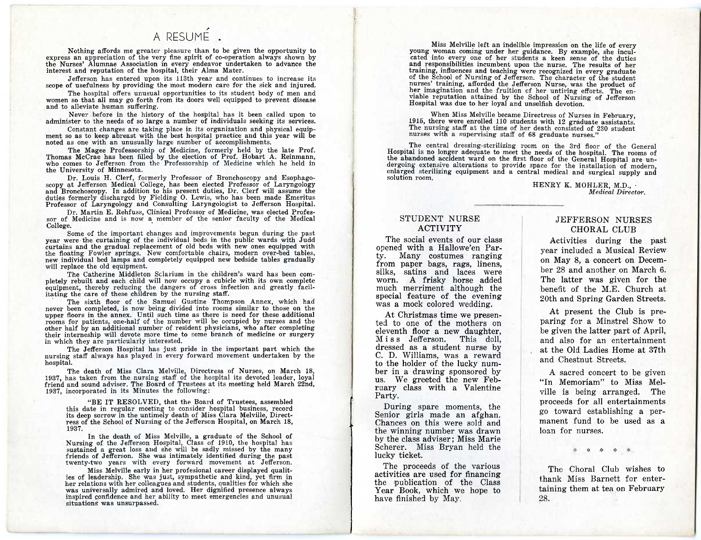# A RESUME

Nothing affords me greater pleasure than to be given the opportunity to express an appreciation of the very fine spirit of co-operation always shown by the Nurses' Alumnae Association in every endeavor undertaken to advance the interest and reputation of the hospital, their Alma Mater.

Jefferson has entered upon its 113th year and continues to increase its scope of usefulness by providing the most modern care for the sick and injured.

The hospital offers unusual opportunities to its student body of men and women so that all may go forth from its doors well equipped to prevent disease and to alleviate human suffering.

Never before in the history of the hospital has it been called upon to administer to the needs of so large a number of individuals seeking its services.

Constant changes are taking place in its organization and physical equip-ment so as to keep abreast with the best hospital practice and this year will be noted as one with an unusually large number of accomplishments.

The Magee Professorship of Medicine, formerly held by the late Prof. Thomas McCrae has been filled by the election of Prof. Hobart A. Reinmann, who comes to Jefferson from the Professorship of Medicine which he held in the University of Minnesota.

Dr. Louis H. Clerf, formerly Professor of Bronchoscopy and Esophagoscopy at Jefferson Medical College, has been elected Professor of Laryngology and Bronchoscopy. In addition to his present duties, Dr. Clerf will assume the duties formerly discharged by Fielding 0. Lewis, who has been made Emeritus Professor of Laryngology and Consulting Laryngologist to Jefferson Hospital.

Dr. Martin E. Rehfuss, Clinical Professor of Medicine, was elected Professor of Medicine and is now a member of the senior faculty of the Medical College.

Some of the important changes and improvements begun during the past year were the curtaining of the individual beds in the public wards with Judd curtains and the gradual replacement of old beds with new ones equipped with the floating Fowler springs. New comfortable chairs, modern over-bed tables, new individual bed lamps and completely equipped new bedside tables gradually will replace the old equipment.

The Catherine Middleton Sclarium in the children's ward has been completely rebuilt and each child will now occupy a cubicle with its own complete equipment, thereby reducing the dangers of cross infection and greatly facilitating the care of these children by the nursing staff.

The sixth floor of the Samuel Gustine Thompson Annex, which had never been completed, is now being divided into rooms similar to those on the upper floors in the annex. Until such time as there is need for these additional rooms for patients, one-half of the number will be occupied by nurses and the other half by an additional number of resident physicians, who after completing their interneship will devote more time to some branch of medicine or surgery in which they are particularly interested.

The Jefferson Hospital has just pride in the important part which the nursing staff always has played in every forward movement undertaken by the hospital.

The death of Miss Clara Melville, Directress of Nurses, on March 18, 1937, has taken from the nursing staff of the hospital its devoted leader, loyal friend and sound adviser. The Board of Trustees at its meeting held March 22nd, 1937, incorporated in its Minutes the following:

"BE IT RESOLVED, that the Board of Trustees, assembled this date in regular meeting to consider hospital business, record its deep sorrow in the untimely death of Miss Clara Melville, Directress of the School of Nursing of the Jefferson Hospital, on March 18, 1937.

In the death of Miss Melville, a graduate of the School of Nursing of the Jefferson Hospital, Class of 1910, the hospital has sustained a great loss and she will be sadly missed by the many friends of Jefferson. She was intimately identified during the past twenty-two years with every forward movement at Jefferson.

Miss Melville early in her profesional career displayed qualities of leadership. She was just, sympathetic and kind, yet firm in her relations with her colleagues and students, qualities for which she was universally admired and loved. Her dignified presence always inspired confidence and her ability to meet emergencies and unusual situations was unsurpassed.

Miss Melville left an indelible impression on the life of every young woman coming under her guidance. By example, she inculcated into every one of her students a keen sense of the duties and responsibilities incumbent upon the nurse. The results of her training, influences and teaching were recognized in every graduate of the School of Nursing of Jefferson. The character of the student nurses' training, afforded the Jefferson Nurse, was the product of her imagination and the fruition cf her untiring efforts. The enviable reputation attained by the School of Nursing of Jefferson Hospital was due to her loyal and unselfish devotion.

When Miss Melville became Directress of Nurses in February, 1915, there were enrolled 110 students with 12 graduate assistants. The nursing staff at the time of her death consisted of 230 student nurses with a supervising staff of 68 graduate nurses."

The central dressing-sterilizing room on the 3rd floor of the General Hospital is no longer adequate to meet the needs of the hospital. The rooms of the abandoned accident ward on the first floor of the General Hospital are undergoing extensive alterations to provide space for the installation of modern, enlarged sterilizing equipment and a central medical and surgical supply and solution room.

### HENRY K. MOHLER, M.D., • *Medical Director.*

### STUDENT NURSE ACTIVITY

The social events of our class opened with a Hallowe'en Party. Many costumes ranging from paper bags, rags, linens, silks, satins and laces were worn. A frisky horse added much merriment although the special feature of the evening was a mock colored wedding.

At Christmas time we presented to one of the mothers on eleventh floor a new daughter, Miss Jefferson. This doll, dressed as a student nurse by C. D. Williams, was a reward to the holder of the lucky number in a drawing sponsored by us. We greeted the new February class with a Valentine Party.

During spare moments, the Senior girls made an afghan. Chances on this were sold and the winning number was drawn by the class adviser ; Miss Marie Scherer. Miss Bryan held the lucky ticket.

The proceeds of the various activities are used for financing the publication of the Class Year Book, which we hope to have finished by May.

### JEFFERSON NURSES CHORAL CLUB

Activities during the past year included a Musical Review on May 8, a concert on December 28 and another on March 6. The latter was given for the benefit of the M.E. Church at 20th and Spring Garden Streets.

At present the Club is preparing for a Minstrel Show to be given the latter part of April, and also for an entertainment at the Old Ladies Home at 37th and Chestnut Streets.

A sacred concert to be given "In Memoriam" to Miss Melville is being arranged. The proceeds for all entertainments go toward establishing a permanent fund to be used as a loan for nurses.

 $\cdot$  4:

The Choral Club wishes to thank Miss Barnett for entertaining them at tea on February 28.